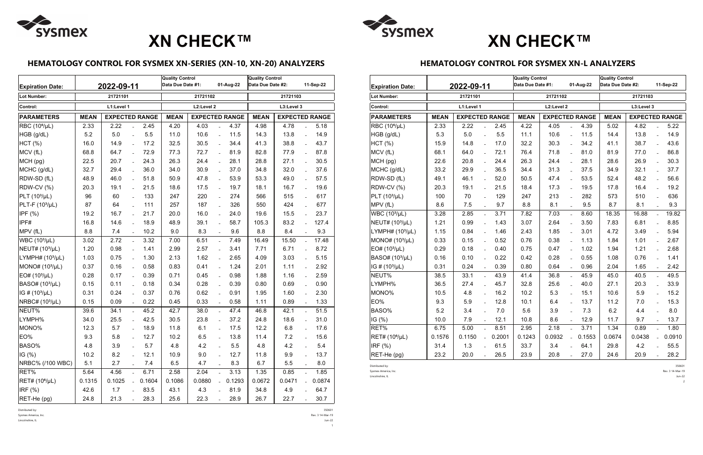## **HEMATOLOGY CONTROL FOR SYSMEX XN-SERIES (XN-10, XN-20) ANALYZERS**

Lincolnshire, IL Jun-22  $1<sup>1</sup>$ 

| <b>Expiration Date:</b>     |             | 2022-09-11             |        | <b>Quality Control</b><br>Data Due Date #1:<br>01-Aug-22 |                       |                           | <b>Quality Control</b><br>Data Due Date #2: |                                      |        | 11-Sep-22      |        |
|-----------------------------|-------------|------------------------|--------|----------------------------------------------------------|-----------------------|---------------------------|---------------------------------------------|--------------------------------------|--------|----------------|--------|
| Lot Number:                 |             | 21721101               |        |                                                          | 21721102              |                           | 21721103                                    |                                      |        |                |        |
| Control:                    |             | L1:Level 1             |        | L2:Level 2                                               |                       | L3:Level 3                |                                             |                                      |        |                |        |
| <b>PARAMETERS</b>           | <b>MEAN</b> | <b>EXPECTED RANGE</b>  |        | <b>MEAN</b>                                              | <b>EXPECTED RANGE</b> |                           |                                             | <b>EXPECTED RANGE</b><br><b>MEAN</b> |        |                |        |
| RBC (10 <sup>6</sup> /µL)   | 2.33        | 2.22                   | 2.45   | 4.20                                                     | 4.03                  |                           | 4.37                                        | 4.98                                 | 4.78   |                | 5.18   |
| HGB (g/dL)                  | 5.2         | 5.0<br>$\overline{a}$  | 5.5    | 11.0                                                     | 10.6                  | $\overline{a}$            | 11.5                                        | 14.3                                 | 13.8   | $\overline{a}$ | 14.9   |
| HCT(%)                      | 16.0        | 14.9<br>$\overline{a}$ | 17.2   | 32.5                                                     | 30.5                  | $\overline{a}$            | 34.4                                        | 41.3                                 | 38.8   | $\equiv$       | 43.7   |
| MCV (fL)                    | 68.8        | 64.7<br>$\overline{a}$ | 72.9   | 77.3                                                     | 72.7                  | $\overline{a}$            | 81.9                                        | 82.8                                 | 77.9   | $\overline{a}$ | 87.8   |
| MCH (pg)                    | 22.5        | 20.7<br>$\overline{a}$ | 24.3   | 26.3                                                     | 24.4                  | $\mathbb{L}^{\mathbb{N}}$ | 28.1                                        | 28.8                                 | 27.1   | $\equiv$       | 30.5   |
| MCHC (g/dL)                 | 32.7        | 29.4                   | 36.0   | 34.0                                                     | 30.9                  | $\overline{a}$            | 37.0                                        | 34.8                                 | 32.0   | $\overline{a}$ | 37.6   |
| RDW-SD (fL)                 | 48.9        | 46.0<br>$\overline{a}$ | 51.8   | 50.9                                                     | 47.8                  | $\equiv$                  | 53.9                                        | 53.3                                 | 49.0   | $\equiv$       | 57.5   |
| <b>RDW-CV (%)</b>           | 20.3        | 19.1<br>$\overline{a}$ | 21.5   | 18.6                                                     | 17.5                  | $\overline{a}$            | 19.7                                        | 18.1                                 | 16.7   | $\overline{a}$ | 19.6   |
| $PLT (103/\mu L)$           | 96          | 60<br>$\overline{a}$   | 133    | 247                                                      | 220                   | $\equiv$                  | 274                                         | 566                                  | 515    | $\overline{a}$ | 617    |
| $PLT-F (103/µL)$            | 87          | 64<br>$\overline{a}$   | 111    | 257                                                      | 187                   | $\overline{a}$            | 326                                         | 550                                  | 424    | $\overline{a}$ | 677    |
| IPF (%)                     | 19.2        | 16.7                   | 21.7   | 20.0                                                     | 16.0                  | $\overline{a}$            | 24.0                                        | 19.6                                 | 15.5   | $\overline{a}$ | 23.7   |
| IPF#                        | 16.8        | 14.6<br>$\overline{a}$ | 18.9   | 48.9                                                     | 39.1                  | $\overline{a}$            | 58.7                                        | 105.3                                | 83.2   | $\overline{a}$ | 127.4  |
| MPV (fL)                    | 8.8         | 7.4                    | 10.2   | 9.0                                                      | 8.3                   | $\overline{a}$            | 9.6                                         | 8.8                                  | 8.4    | $\overline{a}$ | 9.3    |
| WBC (10 <sup>3</sup> /µL)   | 3.02        | 2.72<br>$\overline{a}$ | 3.32   | 7.00                                                     | 6.51                  | $\mathcal{L}^{\pm}$       | 7.49                                        | 16.49                                | 15.50  | $\equiv$       | 17.48  |
| NEUT# (10 <sup>3</sup> /µL) | 1.20        | 0.98                   | 1.41   | 2.99                                                     | 2.57                  | $\overline{a}$            | 3.41                                        | 7.71                                 | 6.71   | $\overline{a}$ | 8.72   |
| LYMPH# $(103/µL)$           | 1.03        | 0.75<br>$\equiv$       | 1.30   | 2.13                                                     | 1.62                  | $\overline{\phantom{a}}$  | 2.65                                        | 4.09                                 | 3.03   | $\overline{a}$ | 5.15   |
| MONO# (10 <sup>3</sup> /µL) | 0.37        | 0.16<br>$\overline{a}$ | 0.58   | 0.83                                                     | 0.41                  | $\overline{a}$            | 1.24                                        | 2.01                                 | 1.11   | $\overline{a}$ | 2.92   |
| EO# (10 <sup>3</sup> /µL)   | 0.28        | 0.17<br>$\overline{a}$ | 0.39   | 0.71                                                     | 0.45                  | $\equiv$                  | 0.98                                        | 1.88                                 | 1.16   | $\overline{a}$ | 2.59   |
| BASO# (10 <sup>3</sup> /µL) | 0.15        | 0.11                   | 0.18   | 0.34                                                     | 0.28                  | $\overline{a}$            | 0.39                                        | 0.80                                 | 0.69   | $\overline{a}$ | 0.90   |
| IG # $(10^3/\mu)$           | 0.31        | 0.24                   | 0.37   | 0.76                                                     | 0.62                  | $\overline{a}$            | 0.91                                        | 1.95                                 | 1.60   | $\overline{a}$ | 2.30   |
| NRBC# (10 <sup>3</sup> /µL) | 0.15        | 0.09                   | 0.22   | 0.45                                                     | 0.33                  | $\overline{\phantom{a}}$  | 0.58                                        | 1.11                                 | 0.89   | $\overline{a}$ | 1.33   |
| NEUT%                       | 39.6        | 34.1<br>$\overline{a}$ | 45.2   | 42.7                                                     | 38.0                  | $\overline{a}$            | 47.4                                        | 46.8                                 | 42.1   | $\overline{a}$ | 51.5   |
| LYMPH%                      | 34.0        | 25.5                   | 42.5   | 30.5                                                     | 23.8                  | $\overline{a}$            | 37.2                                        | 24.8                                 | 18.6   | $\overline{a}$ | 31.0   |
| MONO%                       | 12.3        | 5.7                    | 18.9   | 11.8                                                     | 6.1                   |                           | 17.5                                        | 12.2                                 | 6.8    |                | 17.6   |
| EO%                         | 9.3         | 5.8                    | 12.7   | 10.2                                                     | 6.5                   |                           | 13.8                                        | 11.4                                 | 7.2    |                | 15.6   |
| BASO%                       | 4.8         | 3.9                    | 5.7    | 4.8                                                      | 4.2                   |                           | 5.5                                         | 4.8                                  | 4.2    |                | 5.4    |
| IG $(%)$                    | 10.2        | 8.2                    | 12.1   | 10.9                                                     | 9.0                   |                           | 12.7                                        | 11.8                                 | 9.9    |                | 13.7   |
| NRBC% (/100 WBC)            | 5.1         | 2.7                    | 7.4    | 6.5                                                      | 4.7                   |                           | 8.3                                         | 6.7                                  | 5.5    |                | 8.0    |
| RET%                        | 5.64        | 4.56                   | 6.71   | 2.58                                                     | 2.04                  |                           | 3.13                                        | 1.35                                 | 0.85   | $\overline{a}$ | 1.85   |
| RET# (10 <sup>6</sup> /µL)  | 0.1315      | 0.1025                 | 0.1604 | 0.1086                                                   | 0.0880                |                           | 0.1293                                      | 0.0672                               | 0.0471 |                | 0.0874 |
| IRF (%)                     | 42.6        | 1.7                    | 83.5   | 43.1                                                     | 4.3                   |                           | 81.9                                        | 34.8                                 | 4.9    |                | 64.7   |
| RET-He (pg)                 | 24.8        | 21.3                   | 28.3   | 25.6                                                     | 22.3                  | $\overline{a}$            | 28.9                                        | 26.7                                 | 22.7   |                | 30.7   |

Distributed by: 350601

Sysmex America, Inc. Rev. 3 14-Mar-19

### **HEMATOLOGY CONTROL FOR SYSMEX XN-L ANALYZERS**

| <b>Expiration Date:</b>     |             | 2022-09-11            |                           | <b>Quality Control</b><br>Data Due Date #1: |             |                       | 01-Aug-22                | <b>Quality Control</b><br>Data Due Date #2: |             |                       | 11-Sep-22      |        |  |
|-----------------------------|-------------|-----------------------|---------------------------|---------------------------------------------|-------------|-----------------------|--------------------------|---------------------------------------------|-------------|-----------------------|----------------|--------|--|
| Lot Number:                 |             | 21721101              |                           |                                             | 21721102    |                       | 21721103                 |                                             |             |                       |                |        |  |
| Control:                    | L1:Level 1  |                       |                           |                                             |             | L2:Level 2            |                          | L3:Level 3                                  |             |                       |                |        |  |
| <b>PARAMETERS</b>           | <b>MEAN</b> | <b>EXPECTED RANGE</b> |                           |                                             | <b>MEAN</b> | <b>EXPECTED RANGE</b> |                          |                                             | <b>MEAN</b> | <b>EXPECTED RANGE</b> |                |        |  |
| RBC (10 <sup>6</sup> /µL)   | 2.33        | 2.22                  | $\overline{a}$            | 2.45                                        | 4.22        | 4.05                  | $\overline{a}$           | 4.39                                        | 5.02        | 4.82                  | $\overline{a}$ | 5.22   |  |
| HGB (g/dL)                  | 5.3         | 5.0                   | $\overline{a}$            | 5.5                                         | 11.1        | 10.6                  | $\overline{\phantom{a}}$ | 11.5                                        | 14.4        | 13.8                  | $\overline{a}$ | 14.9   |  |
| HCT (%)                     | 15.9        | 14.8                  | $\overline{a}$            | 17.0                                        | 32.2        | 30.3                  | $\overline{a}$           | 34.2                                        | 41.1        | 38.7                  | $\overline{a}$ | 43.6   |  |
| MCV (fL)                    | 68.1        | 64.0                  | $\overline{a}$            | 72.1                                        | 76.4        | 71.8                  | $\overline{a}$           | 81.0                                        | 81.9        | 77.0                  | $\overline{a}$ | 86.8   |  |
| MCH (pg)                    | 22.6        | 20.8                  | $\overline{a}$            | 24.4                                        | 26.3        | 24.4                  | $\overline{a}$           | 28.1                                        | 28.6        | 26.9                  | $\overline{a}$ | 30.3   |  |
| MCHC (g/dL)                 | 33.2        | 29.9                  | $\overline{a}$            | 36.5                                        | 34.4        | 31.3                  | $\overline{a}$           | 37.5                                        | 34.9        | 32.1                  | $\overline{a}$ | 37.7   |  |
| RDW-SD (fL)                 | 49.1        | 46.1                  |                           | 52.0                                        | 50.5        | 47.4                  |                          | 53.5                                        | 52.4        | 48.2                  | $\overline{a}$ | 56.6   |  |
| RDW-CV (%)                  | 20.3        | 19.1                  | $\overline{a}$            | 21.5                                        | 18.4        | 17.3                  |                          | 19.5                                        | 17.8        | 16.4                  | $\overline{a}$ | 19.2   |  |
| PLT $(103/\mu L)$           | 100         | 70                    | $\overline{\phantom{a}}$  | 129                                         | 247         | 213                   | $\overline{\phantom{a}}$ | 282                                         | 573         | 510                   | $\overline{a}$ | 636    |  |
| MPV (fL)                    | 8.6         | 7.5                   | $\overline{a}$            | 9.7                                         | 8.8         | 8.1                   |                          | 9.5                                         | 8.7         | 8.1                   |                | 9.3    |  |
| WBC (10 <sup>3</sup> /µL)   | 3.28        | 2.85                  | $\mathbf{r}$              | 3.71                                        | 7.82        | 7.03                  | $\overline{a}$           | 8.60                                        | 18.35       | 16.88                 | $\mathbb{L}$   | 19.82  |  |
| NEUT# (10 <sup>3</sup> /µL) | 1.21        | 0.99                  | $\overline{a}$            | 1.43                                        | 3.07        | 2.64                  | $\overline{a}$           | 3.50                                        | 7.83        | 6.81                  | $\overline{a}$ | 8.85   |  |
| LYMPH# $(103/µL)$           | 1.15        | 0.84                  | $\overline{a}$            | 1.46                                        | 2.43        | 1.85                  | $\overline{a}$           | 3.01                                        | 4.72        | 3.49                  | $\overline{a}$ | 5.94   |  |
| MONO# (10 <sup>3</sup> /µL) | 0.33        | 0.15                  | $\overline{a}$            | 0.52                                        | 0.76        | 0.38                  | $\overline{a}$           | 1.13                                        | 1.84        | 1.01                  | $\overline{a}$ | 2.67   |  |
| $EO# (103/\mu L)$           | 0.29        | 0.18                  | $\overline{a}$            | 0.40                                        | 0.75        | 0.47                  | $\overline{a}$           | 1.02                                        | 1.94        | 1.21                  | $\overline{a}$ | 2.68   |  |
| BASO# (10 <sup>3</sup> /µL) | 0.16        | 0.10                  | $\overline{\phantom{a}}$  | 0.22                                        | 0.42        | 0.28                  | $\overline{\phantom{a}}$ | 0.55                                        | 1.08        | 0.76                  | $\equiv$       | 1.41   |  |
| $IG$ # (10 $^{3}/\mu L$ )   | 0.31        | 0.24                  | $\overline{a}$            | 0.39                                        | 0.80        | 0.64                  |                          | 0.96                                        | 2.04        | 1.65                  |                | 2.42   |  |
| NEUT%                       | 38.5        | 33.1                  | $\mathbb{Z}^{\mathbb{Z}}$ | 43.9                                        | 41.4        | 36.8                  | $\overline{a}$           | 45.9                                        | 45.0        | 40.5                  | $\mathbb{L}$   | 49.5   |  |
| LYMPH%                      | 36.5        | 27.4                  | $\overline{a}$            | 45.7                                        | 32.8        | 25.6                  | $\overline{a}$           | 40.0                                        | 27.1        | 20.3                  | $\overline{a}$ | 33.9   |  |
| MONO%                       | 10.5        | 4.8                   | $\overline{a}$            | 16.2                                        | 10.2        | 5.3                   | $\overline{a}$           | 15.1                                        | 10.6        | 5.9                   | $\overline{a}$ | 15.2   |  |
| EO%                         | 9.3         | 5.9                   | $\overline{a}$            | 12.8                                        | 10.1        | 6.4                   | $\overline{a}$           | 13.7                                        | 11.2        | 7.0                   | $\overline{a}$ | 15.3   |  |
| BASO%                       | 5.2         | 3.4                   | $\overline{a}$            | 7.0                                         | 5.6         | 3.9                   | $\overline{a}$           | 7.3                                         | 6.2         | 4.4                   | $\overline{a}$ | 8.0    |  |
| IG (%)                      | 10.0        | 7.9                   | $\mathbb{Z}^{\mathbb{Z}}$ | 12.1                                        | 10.8        | 8.6                   | $\overline{a}$           | 12.9                                        | 11.7        | 9.7                   | $\equiv$       | 13.7   |  |
| RET%                        | 6.75        | 5.00                  | $\mathbf{L}$              | 8.51                                        | 2.95        | 2.18                  | $\overline{a}$           | 3.71                                        | 1.34        | 0.89                  | $\overline{a}$ | 1.80   |  |
| RET# (10 <sup>6</sup> /µL)  | 0.1576      | 0.1150                | $\mathbb{R}^{\mathbb{Z}}$ | 0.2001                                      | 0.1243      | 0.0932                | $\overline{a}$           | 0.1553                                      | 0.0674      | 0.0438                | $\overline{a}$ | 0.0910 |  |
| IRF (%)                     | 31.4        | 1.3                   |                           | 61.5                                        | 33.7        | 3.4                   |                          | 64.1                                        | 29.8        | 4.2                   |                | 55.5   |  |
| RET-He (pg)                 | 23.2        | 20.0                  |                           | 26.5                                        | 23.9        | 20.8                  | $\overline{a}$           | 27.0                                        | 24.6        | 20.9                  | $\overline{a}$ | 28.2   |  |

Distributed by: 350601 Sysmex America, Inc. Rev. 3 14-Mar-19 Lincolnshire, IL Jun-22 2